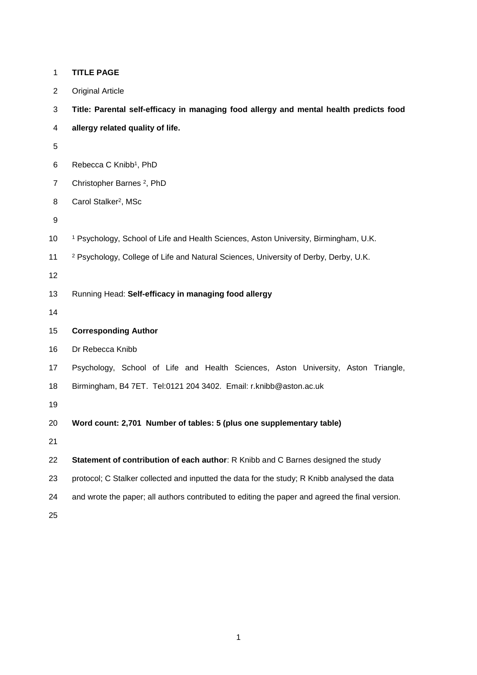| $\mathbf{1}$   | <b>TITLE PAGE</b>                                                                               |
|----------------|-------------------------------------------------------------------------------------------------|
| $\overline{c}$ | <b>Original Article</b>                                                                         |
| 3              | Title: Parental self-efficacy in managing food allergy and mental health predicts food          |
| 4              | allergy related quality of life.                                                                |
| 5              |                                                                                                 |
| 6              | Rebecca C Knibb <sup>1</sup> , PhD                                                              |
| $\overline{7}$ | Christopher Barnes <sup>2</sup> , PhD                                                           |
| 8              | Carol Stalker <sup>2</sup> , MSc                                                                |
| 9              |                                                                                                 |
| 10             | <sup>1</sup> Psychology, School of Life and Health Sciences, Aston University, Birmingham, U.K. |
| 11             | <sup>2</sup> Psychology, College of Life and Natural Sciences, University of Derby, Derby, U.K. |
| 12             |                                                                                                 |
| 13             | Running Head: Self-efficacy in managing food allergy                                            |
| 14             |                                                                                                 |
| 15             | <b>Corresponding Author</b>                                                                     |
| 16             | Dr Rebecca Knibb                                                                                |
| 17             | Psychology, School of Life and Health Sciences, Aston University, Aston Triangle,               |
| 18             | Birmingham, B4 7ET. Tel:0121 204 3402. Email: r.knibb@aston.ac.uk                               |
| 19             |                                                                                                 |
| 20             | Word count: 2,701 Number of tables: 5 (plus one supplementary table)                            |
| 21             |                                                                                                 |
| 22             | Statement of contribution of each author: R Knibb and C Barnes designed the study               |
| 23             | protocol; C Stalker collected and inputted the data for the study; R Knibb analysed the data    |
| 24             | and wrote the paper; all authors contributed to editing the paper and agreed the final version. |
| 25             |                                                                                                 |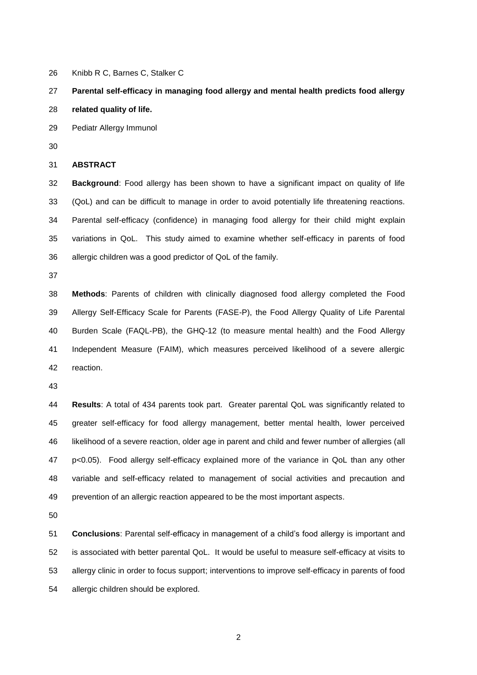Knibb R C, Barnes C, Stalker C

# **Parental self-efficacy in managing food allergy and mental health predicts food allergy**

**related quality of life.**

Pediatr Allergy Immunol

**ABSTRACT**

 **Background**: Food allergy has been shown to have a significant impact on quality of life (QoL) and can be difficult to manage in order to avoid potentially life threatening reactions. Parental self-efficacy (confidence) in managing food allergy for their child might explain variations in QoL. This study aimed to examine whether self-efficacy in parents of food allergic children was a good predictor of QoL of the family.

 **Methods**: Parents of children with clinically diagnosed food allergy completed the Food Allergy Self-Efficacy Scale for Parents (FASE-P), the Food Allergy Quality of Life Parental Burden Scale (FAQL-PB), the GHQ-12 (to measure mental health) and the Food Allergy Independent Measure (FAIM), which measures perceived likelihood of a severe allergic reaction.

 **Results**: A total of 434 parents took part. Greater parental QoL was significantly related to greater self-efficacy for food allergy management, better mental health, lower perceived likelihood of a severe reaction, older age in parent and child and fewer number of allergies (all p<0.05). Food allergy self-efficacy explained more of the variance in QoL than any other variable and self-efficacy related to management of social activities and precaution and prevention of an allergic reaction appeared to be the most important aspects.

 **Conclusions**: Parental self-efficacy in management of a child's food allergy is important and is associated with better parental QoL. It would be useful to measure self-efficacy at visits to allergy clinic in order to focus support; interventions to improve self-efficacy in parents of food allergic children should be explored.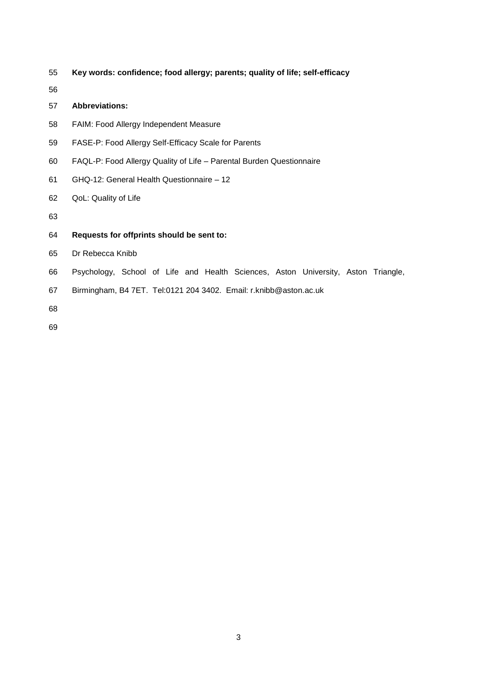- **Key words: confidence; food allergy; parents; quality of life; self-efficacy**
- 

## **Abbreviations:**

- FAIM: Food Allergy Independent Measure
- FASE-P: Food Allergy Self-Efficacy Scale for Parents
- FAQL-P: Food Allergy Quality of Life Parental Burden Questionnaire
- GHQ-12: General Health Questionnaire 12
- QoL: Quality of Life
- 
- **Requests for offprints should be sent to:**
- Dr Rebecca Knibb
- Psychology, School of Life and Health Sciences, Aston University, Aston Triangle,
- Birmingham, B4 7ET. Tel:0121 204 3402. Email: r.knibb@aston.ac.uk
- 
-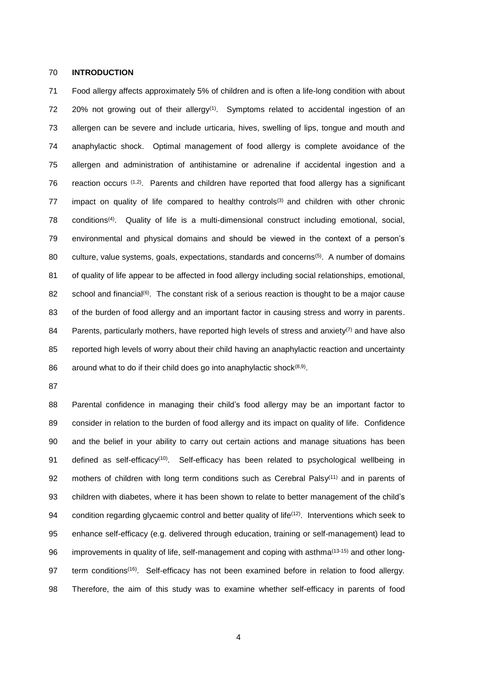#### 70 **INTRODUCTION**

71 Food allergy affects approximately 5% of children and is often a life-long condition with about 72 20% not growing out of their allergy<sup>(1)</sup>. Symptoms related to accidental ingestion of an 73 allergen can be severe and include urticaria, hives, swelling of lips, tongue and mouth and 74 anaphylactic shock. Optimal management of food allergy is complete avoidance of the 75 allergen and administration of antihistamine or adrenaline if accidental ingestion and a 76 reaction occurs  $(1,2)$ . Parents and children have reported that food allergy has a significant 77 impact on quality of life compared to healthy controls<sup>(3)</sup> and children with other chronic 78 conditions<sup>(4)</sup>. Quality of life is a multi-dimensional construct including emotional, social, 79 environmental and physical domains and should be viewed in the context of a person's 80 culture, value systems, goals, expectations, standards and concerns<sup>(5)</sup>. A number of domains 81 of quality of life appear to be affected in food allergy including social relationships, emotional, 82 school and financial<sup>(6)</sup>. The constant risk of a serious reaction is thought to be a major cause 83 of the burden of food allergy and an important factor in causing stress and worry in parents. 84 Parents, particularly mothers, have reported high levels of stress and anxiety<sup>(7)</sup> and have also 85 reported high levels of worry about their child having an anaphylactic reaction and uncertainty 86 around what to do if their child does go into anaphylactic shock $(8,9)$ .

87

88 Parental confidence in managing their child's food allergy may be an important factor to 89 consider in relation to the burden of food allergy and its impact on quality of life. Confidence 90 and the belief in your ability to carry out certain actions and manage situations has been 91 defined as self-efficacy<sup>(10)</sup>. Self-efficacy has been related to psychological wellbeing in 92 mothers of children with long term conditions such as Cerebral Palsy $(11)$  and in parents of 93 children with diabetes, where it has been shown to relate to better management of the child's 94 condition regarding glycaemic control and better quality of life<sup> $(12)$ </sup>. Interventions which seek to 95 enhance self-efficacy (e.g. delivered through education, training or self-management) lead to 96 improvements in quality of life, self-management and coping with asthma<sup>(13-15)</sup> and other long-97 term conditions<sup>(16)</sup>. Self-efficacy has not been examined before in relation to food allergy. 98 Therefore, the aim of this study was to examine whether self-efficacy in parents of food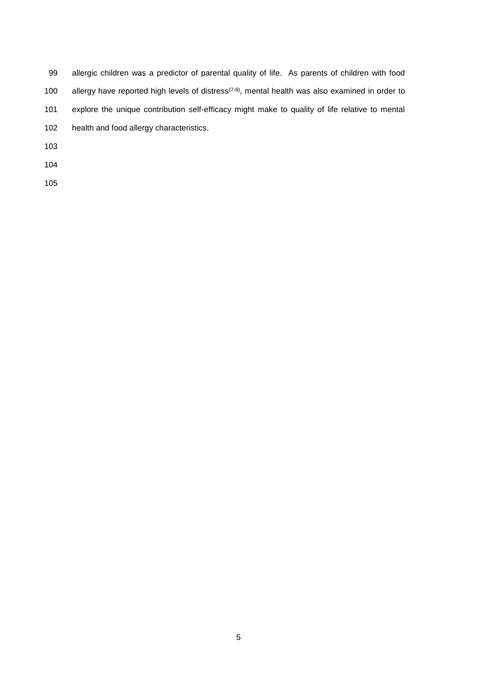| 99  | allergic children was a predictor of parental quality of life. As parents of children with food                           |
|-----|---------------------------------------------------------------------------------------------------------------------------|
| 100 | allergy have reported high levels of distress <sup><math>(7-9)</math></sup> , mental health was also examined in order to |
| 101 | explore the unique contribution self-efficacy might make to quality of life relative to mental                            |
| 102 | health and food allergy characteristics.                                                                                  |
| 103 |                                                                                                                           |
| 104 |                                                                                                                           |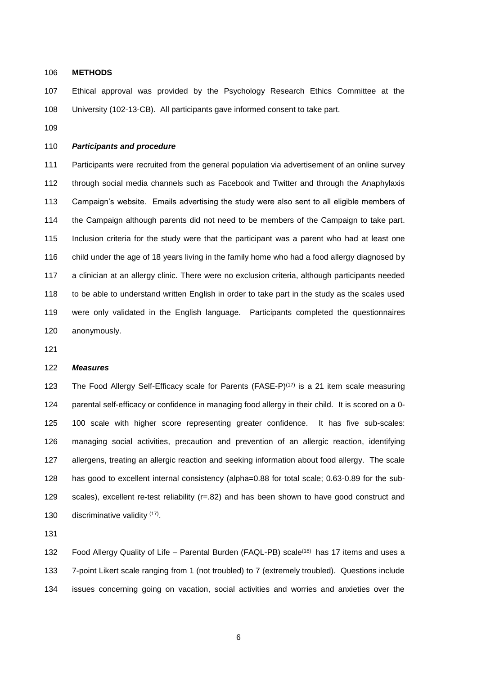**METHODS**

 Ethical approval was provided by the Psychology Research Ethics Committee at the University (102-13-CB). All participants gave informed consent to take part.

#### *Participants and procedure*

 Participants were recruited from the general population via advertisement of an online survey through social media channels such as Facebook and Twitter and through the Anaphylaxis Campaign's website. Emails advertising the study were also sent to all eligible members of the Campaign although parents did not need to be members of the Campaign to take part. Inclusion criteria for the study were that the participant was a parent who had at least one child under the age of 18 years living in the family home who had a food allergy diagnosed by a clinician at an allergy clinic. There were no exclusion criteria, although participants needed to be able to understand written English in order to take part in the study as the scales used were only validated in the English language. Participants completed the questionnaires anonymously.

#### *Measures*

123 The Food Allergy Self-Efficacy scale for Parents (FASE-P) $(17)$  is a 21 item scale measuring parental self-efficacy or confidence in managing food allergy in their child. It is scored on a 0- 100 scale with higher score representing greater confidence. It has five sub-scales: managing social activities, precaution and prevention of an allergic reaction, identifying allergens, treating an allergic reaction and seeking information about food allergy. The scale has good to excellent internal consistency (alpha=0.88 for total scale; 0.63-0.89 for the sub- scales), excellent re-test reliability (r=.82) and has been shown to have good construct and 130 discriminative validity  $(17)$ .

132 Food Allergy Quality of Life – Parental Burden (FAQL-PB) scale<sup>(18)</sup> has 17 items and uses a 7-point Likert scale ranging from 1 (not troubled) to 7 (extremely troubled). Questions include issues concerning going on vacation, social activities and worries and anxieties over the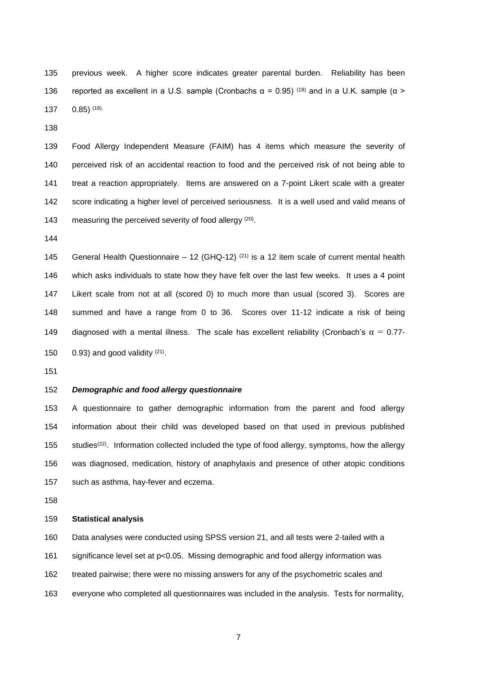previous week. A higher score indicates greater parental burden. Reliability has been 136 reported as excellent in a U.S. sample (Cronbachs  $\alpha = 0.95$ ) (18) and in a U.K. sample (α > 137  $0.85$ ) (19).

 Food Allergy Independent Measure (FAIM) has 4 items which measure the severity of perceived risk of an accidental reaction to food and the perceived risk of not being able to treat a reaction appropriately. Items are answered on a 7-point Likert scale with a greater score indicating a higher level of perceived seriousness. It is a well used and valid means of 143 measuring the perceived severity of food allergy  $(20)$ .

145 General Health Questionnaire – 12 (GHQ-12)  $(21)$  is a 12 item scale of current mental health which asks individuals to state how they have felt over the last few weeks. It uses a 4 point Likert scale from not at all (scored 0) to much more than usual (scored 3). Scores are summed and have a range from 0 to 36. Scores over 11-12 indicate a risk of being 149 diagnosed with a mental illness. The scale has excellent reliability (Cronbach's  $\alpha = 0.77$ - $0.93$ ) and good validity  $(21)$ .

## *Demographic and food allergy questionnaire*

 A questionnaire to gather demographic information from the parent and food allergy information about their child was developed based on that used in previous published 155 studies<sup>(22)</sup>. Information collected included the type of food allergy, symptoms, how the allergy was diagnosed, medication, history of anaphylaxis and presence of other atopic conditions such as asthma, hay-fever and eczema.

#### **Statistical analysis**

Data analyses were conducted using SPSS version 21, and all tests were 2-tailed with a

significance level set at p<0.05. Missing demographic and food allergy information was

- treated pairwise; there were no missing answers for any of the psychometric scales and
- everyone who completed all questionnaires was included in the analysis. Tests for normality,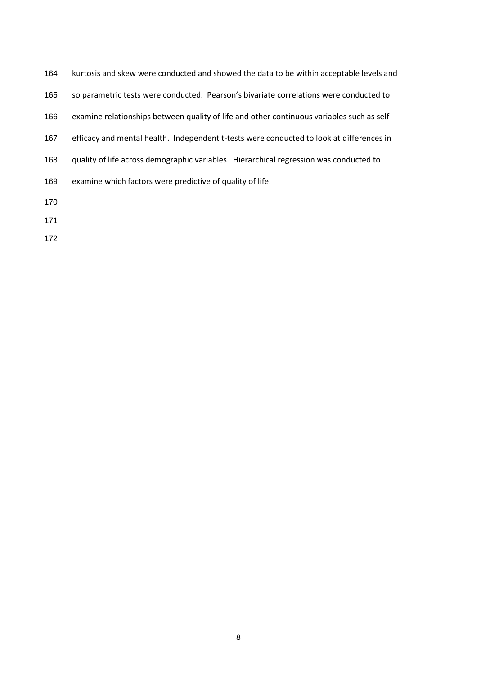| 164 | kurtosis and skew were conducted and showed the data to be within acceptable levels and    |
|-----|--------------------------------------------------------------------------------------------|
| 165 | so parametric tests were conducted. Pearson's bivariate correlations were conducted to     |
| 166 | examine relationships between quality of life and other continuous variables such as self- |
| 167 | efficacy and mental health. Independent t-tests were conducted to look at differences in   |
| 168 | quality of life across demographic variables. Hierarchical regression was conducted to     |
| 169 | examine which factors were predictive of quality of life.                                  |
| 170 |                                                                                            |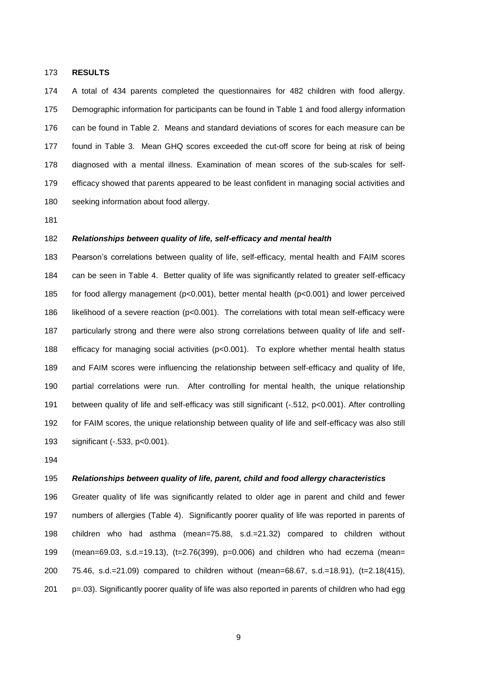#### **RESULTS**

 A total of 434 parents completed the questionnaires for 482 children with food allergy. Demographic information for participants can be found in Table 1 and food allergy information can be found in Table 2. Means and standard deviations of scores for each measure can be found in Table 3. Mean GHQ scores exceeded the cut-off score for being at risk of being diagnosed with a mental illness. Examination of mean scores of the sub-scales for self- efficacy showed that parents appeared to be least confident in managing social activities and seeking information about food allergy.

#### *Relationships between quality of life, self-efficacy and mental health*

 Pearson's correlations between quality of life, self-efficacy, mental health and FAIM scores can be seen in Table 4. Better quality of life was significantly related to greater self-efficacy for food allergy management (p<0.001), better mental health (p<0.001) and lower perceived 186 likelihood of a severe reaction ( $p<0.001$ ). The correlations with total mean self-efficacy were particularly strong and there were also strong correlations between quality of life and self- efficacy for managing social activities (p<0.001). To explore whether mental health status and FAIM scores were influencing the relationship between self-efficacy and quality of life, partial correlations were run. After controlling for mental health, the unique relationship between quality of life and self-efficacy was still significant (-.512, p<0.001). After controlling for FAIM scores, the unique relationship between quality of life and self-efficacy was also still significant (-.533, p<0.001).

#### *Relationships between quality of life, parent, child and food allergy characteristics*

 Greater quality of life was significantly related to older age in parent and child and fewer numbers of allergies (Table 4). Significantly poorer quality of life was reported in parents of children who had asthma (mean=75.88, s.d.=21.32) compared to children without (mean=69.03, s.d.=19.13), (t=2.76(399), p=0.006) and children who had eczema (mean= 75.46, s.d.=21.09) compared to children without (mean=68.67, s.d.=18.91), (t=2.18(415), p=.03). Significantly poorer quality of life was also reported in parents of children who had egg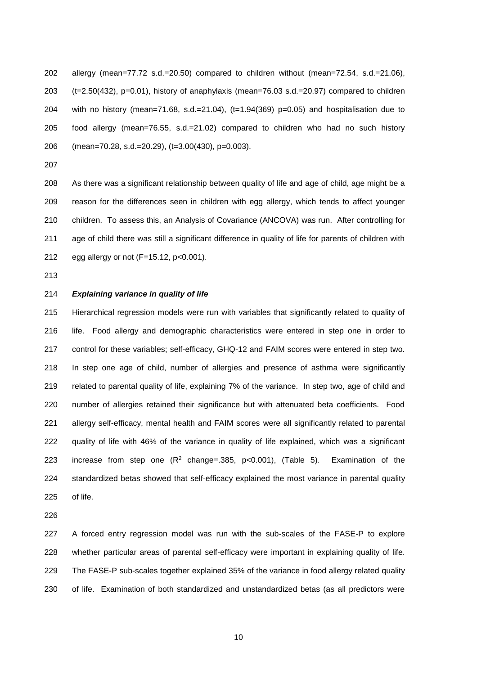allergy (mean=77.72 s.d.=20.50) compared to children without (mean=72.54, s.d.=21.06), (t=2.50(432), p=0.01), history of anaphylaxis (mean=76.03 s.d.=20.97) compared to children with no history (mean=71.68, s.d.=21.04), (t=1.94(369) p=0.05) and hospitalisation due to food allergy (mean=76.55, s.d.=21.02) compared to children who had no such history (mean=70.28, s.d.=20.29), (t=3.00(430), p=0.003).

 As there was a significant relationship between quality of life and age of child, age might be a reason for the differences seen in children with egg allergy, which tends to affect younger children. To assess this, an Analysis of Covariance (ANCOVA) was run. After controlling for age of child there was still a significant difference in quality of life for parents of children with egg allergy or not (F=15.12, p<0.001).

#### *Explaining variance in quality of life*

 Hierarchical regression models were run with variables that significantly related to quality of life. Food allergy and demographic characteristics were entered in step one in order to control for these variables; self-efficacy, GHQ-12 and FAIM scores were entered in step two. In step one age of child, number of allergies and presence of asthma were significantly related to parental quality of life, explaining 7% of the variance. In step two, age of child and number of allergies retained their significance but with attenuated beta coefficients. Food allergy self-efficacy, mental health and FAIM scores were all significantly related to parental quality of life with 46% of the variance in quality of life explained, which was a significant 223 increase from step one  $(R^2 \text{ change} = .385, \text{ p} < 0.001)$ , (Table 5). Examination of the standardized betas showed that self-efficacy explained the most variance in parental quality of life.

 A forced entry regression model was run with the sub-scales of the FASE-P to explore whether particular areas of parental self-efficacy were important in explaining quality of life. The FASE-P sub-scales together explained 35% of the variance in food allergy related quality of life. Examination of both standardized and unstandardized betas (as all predictors were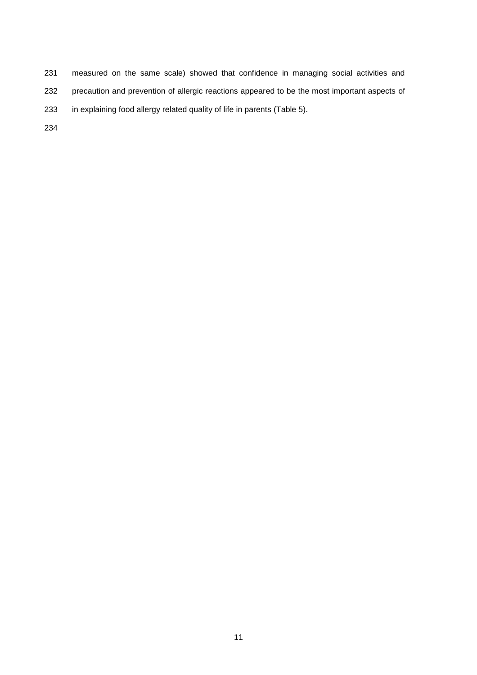measured on the same scale) showed that confidence in managing social activities and 232 precaution and prevention of allergic reactions appeared to be the most important aspects of in explaining food allergy related quality of life in parents (Table 5).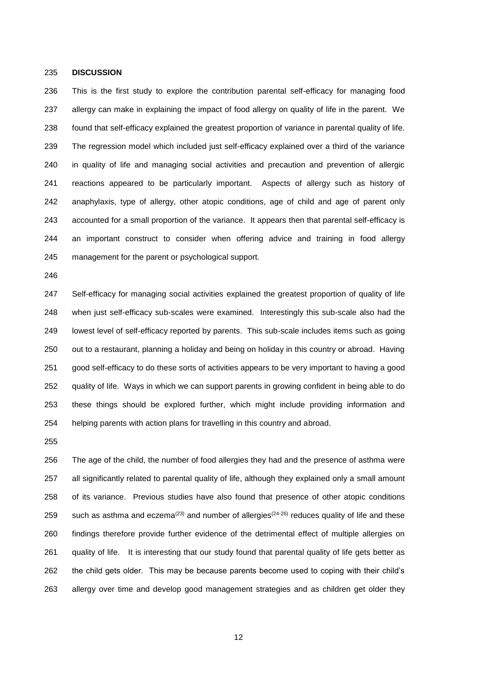#### **DISCUSSION**

 This is the first study to explore the contribution parental self-efficacy for managing food 237 allergy can make in explaining the impact of food allergy on quality of life in the parent. We found that self-efficacy explained the greatest proportion of variance in parental quality of life. The regression model which included just self-efficacy explained over a third of the variance in quality of life and managing social activities and precaution and prevention of allergic reactions appeared to be particularly important. Aspects of allergy such as history of anaphylaxis, type of allergy, other atopic conditions, age of child and age of parent only accounted for a small proportion of the variance. It appears then that parental self-efficacy is an important construct to consider when offering advice and training in food allergy management for the parent or psychological support.

 Self-efficacy for managing social activities explained the greatest proportion of quality of life when just self-efficacy sub-scales were examined. Interestingly this sub-scale also had the lowest level of self-efficacy reported by parents. This sub-scale includes items such as going out to a restaurant, planning a holiday and being on holiday in this country or abroad. Having good self-efficacy to do these sorts of activities appears to be very important to having a good quality of life. Ways in which we can support parents in growing confident in being able to do these things should be explored further, which might include providing information and helping parents with action plans for travelling in this country and abroad.

 The age of the child, the number of food allergies they had and the presence of asthma were all significantly related to parental quality of life, although they explained only a small amount of its variance. Previous studies have also found that presence of other atopic conditions 259 such as asthma and eczema<sup>(23)</sup> and number of allergies<sup>(24-26)</sup> reduces quality of life and these findings therefore provide further evidence of the detrimental effect of multiple allergies on quality of life. It is interesting that our study found that parental quality of life gets better as the child gets older. This may be because parents become used to coping with their child's allergy over time and develop good management strategies and as children get older they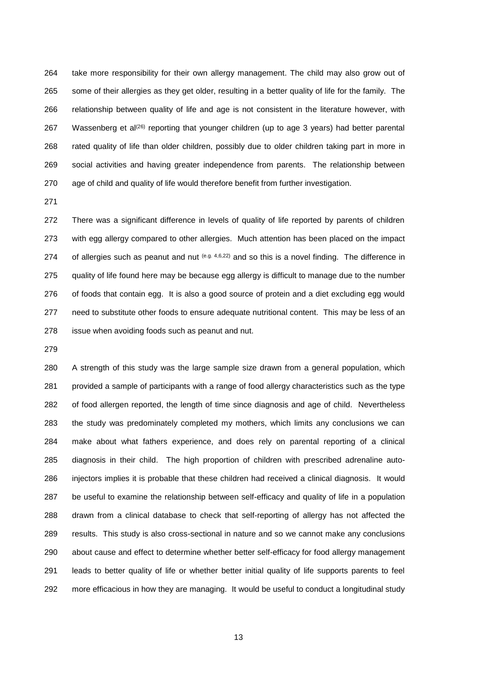take more responsibility for their own allergy management. The child may also grow out of some of their allergies as they get older, resulting in a better quality of life for the family. The relationship between quality of life and age is not consistent in the literature however, with 267 Wassenberg et al<sup>(26)</sup> reporting that younger children (up to age 3 years) had better parental rated quality of life than older children, possibly due to older children taking part in more in social activities and having greater independence from parents. The relationship between age of child and quality of life would therefore benefit from further investigation.

 There was a significant difference in levels of quality of life reported by parents of children with egg allergy compared to other allergies. Much attention has been placed on the impact 274 of allergies such as peanut and nut  $(e.g. 4,6,22)$  and so this is a novel finding. The difference in quality of life found here may be because egg allergy is difficult to manage due to the number of foods that contain egg. It is also a good source of protein and a diet excluding egg would need to substitute other foods to ensure adequate nutritional content. This may be less of an issue when avoiding foods such as peanut and nut.

 A strength of this study was the large sample size drawn from a general population, which provided a sample of participants with a range of food allergy characteristics such as the type of food allergen reported, the length of time since diagnosis and age of child. Nevertheless the study was predominately completed my mothers, which limits any conclusions we can make about what fathers experience, and does rely on parental reporting of a clinical diagnosis in their child. The high proportion of children with prescribed adrenaline auto- injectors implies it is probable that these children had received a clinical diagnosis. It would be useful to examine the relationship between self-efficacy and quality of life in a population drawn from a clinical database to check that self-reporting of allergy has not affected the results. This study is also cross-sectional in nature and so we cannot make any conclusions about cause and effect to determine whether better self-efficacy for food allergy management leads to better quality of life or whether better initial quality of life supports parents to feel more efficacious in how they are managing. It would be useful to conduct a longitudinal study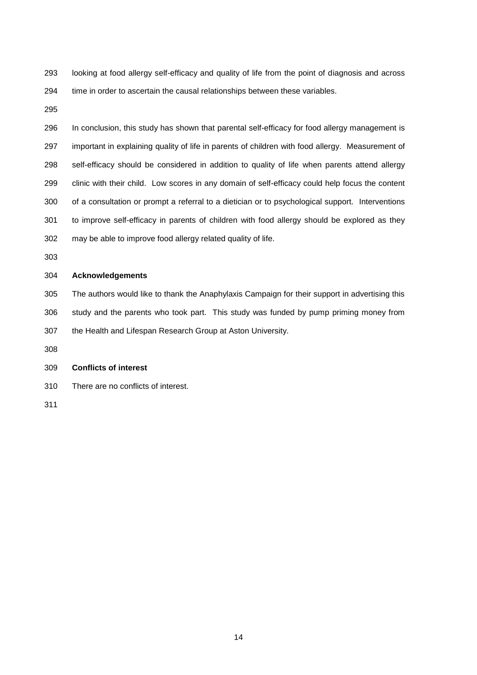looking at food allergy self-efficacy and quality of life from the point of diagnosis and across time in order to ascertain the causal relationships between these variables.

 In conclusion, this study has shown that parental self-efficacy for food allergy management is important in explaining quality of life in parents of children with food allergy. Measurement of self-efficacy should be considered in addition to quality of life when parents attend allergy clinic with their child. Low scores in any domain of self-efficacy could help focus the content of a consultation or prompt a referral to a dietician or to psychological support. Interventions to improve self-efficacy in parents of children with food allergy should be explored as they may be able to improve food allergy related quality of life.

### **Acknowledgements**

 The authors would like to thank the Anaphylaxis Campaign for their support in advertising this study and the parents who took part. This study was funded by pump priming money from the Health and Lifespan Research Group at Aston University.

## **Conflicts of interest**

There are no conflicts of interest.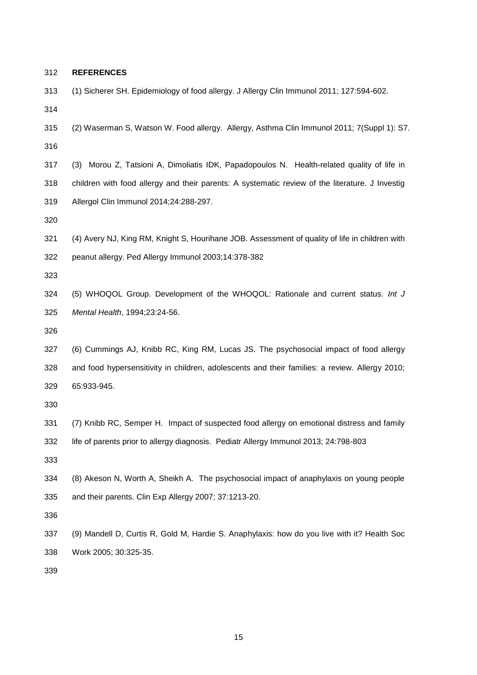**REFERENCES** (1) Sicherer SH. Epidemiology of food allergy. J Allergy Clin Immunol 2011; 127:594-602. (2) Waserman S, Watson W. Food allergy. Allergy, Asthma Clin Immunol 2011; 7(Suppl 1): S7. (3) Morou Z, Tatsioni A, Dimoliatis IDK, Papadopoulos N. Health-related quality of life in children with food allergy and their parents: A systematic review of the literature. J Investig Allergol Clin Immunol 2014;24:288-297. (4) Avery NJ, King RM, Knight S, Hourihane JOB. Assessment of quality of life in children with peanut allergy. Ped Allergy Immunol 2003;14:378-382 (5) WHOQOL Group. Development of the WHOQOL: Rationale and current status. *Int J Mental Health*, 1994;23:24-56. (6) Cummings AJ, Knibb RC, King RM, Lucas JS. The psychosocial impact of food allergy and food hypersensitivity in children, adolescents and their families: a review. Allergy 2010; 65:933-945. (7) Knibb RC, Semper H. Impact of suspected food allergy on emotional distress and family life of parents prior to allergy diagnosis. Pediatr Allergy Immunol 2013; 24:798-803 (8) Akeson N, Worth A, Sheikh A. The psychosocial impact of anaphylaxis on young people and their parents. Clin Exp Allergy 2007; 37:1213-20. (9) Mandell D, Curtis R, Gold M, Hardie S. Anaphylaxis: how do you live with it? Health Soc Work 2005; 30:325-35.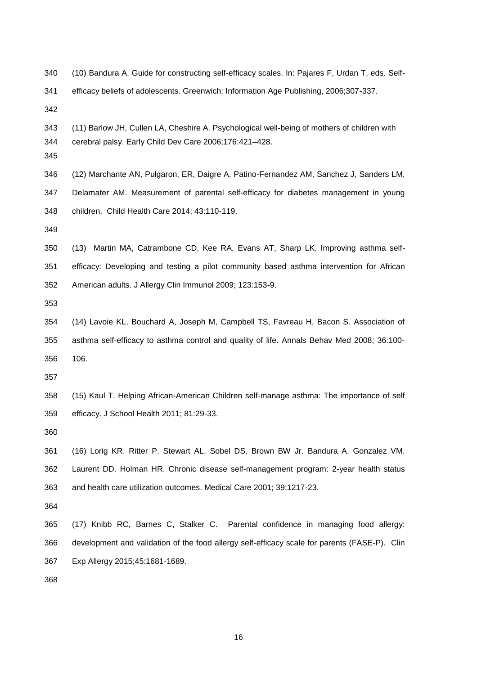(10) Bandura A. Guide for constructing self-efficacy scales. In: Pajares F, Urdan T, eds. Self-efficacy beliefs of adolescents. Greenwich: Information Age Publishing, 2006;307-337.

- (11) Barlow JH, Cullen LA, Cheshire A. Psychological well-being of mothers of children with cerebral palsy. Early Child Dev Care 2006;176:421–428.
- 
- (12) Marchante AN, Pulgaron, ER, Daigre A, Patino-Fernandez AM, Sanchez J, Sanders LM, Delamater AM. Measurement of parental self-efficacy for diabetes management in young children. Child Health Care 2014; 43:110-119.

- (13) Martin MA, Catrambone CD, Kee RA, Evans AT, Sharp LK. Improving asthma self- efficacy: Developing and testing a pilot community based asthma intervention for African American adults. J Allergy Clin Immunol 2009; 123:153-9.
- 
- (14) Lavoie KL, Bouchard A, Joseph M, Campbell TS, Favreau H, Bacon S. Association of asthma self-efficacy to asthma control and quality of life. Annals Behav Med 2008; 36:100- 106.

 (15) Kaul T. Helping African-American Children self-manage asthma: The importance of self efficacy. J School Health 2011; 81:29-33.

 (16) Lorig KR. Ritter P. Stewart AL. Sobel DS. Brown BW Jr. Bandura A. Gonzalez VM. Laurent DD. Holman HR. Chronic disease self-management program: 2-year health status and health care utilization outcomes. Medical Care 2001; 39:1217-23.

 (17) Knibb RC, Barnes C, Stalker C. Parental confidence in managing food allergy: development and validation of the food allergy self-efficacy scale for parents (FASE-P). Clin Exp Allergy 2015;45:1681-1689.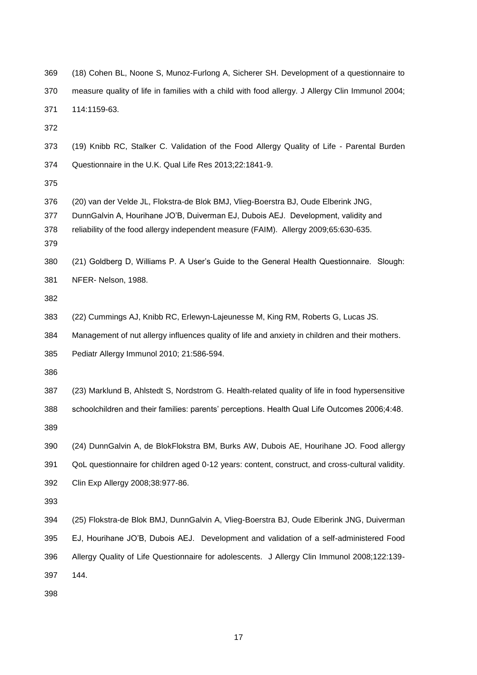| 369                      | (18) Cohen BL, Noone S, Munoz-Furlong A, Sicherer SH. Development of a questionnaire to                                                                                                                                                                         |
|--------------------------|-----------------------------------------------------------------------------------------------------------------------------------------------------------------------------------------------------------------------------------------------------------------|
| 370                      | measure quality of life in families with a child with food allergy. J Allergy Clin Immunol 2004;                                                                                                                                                                |
| 371                      | 114:1159-63.                                                                                                                                                                                                                                                    |
| 372                      |                                                                                                                                                                                                                                                                 |
| 373                      | (19) Knibb RC, Stalker C. Validation of the Food Allergy Quality of Life - Parental Burden                                                                                                                                                                      |
| 374                      | Questionnaire in the U.K. Qual Life Res 2013;22:1841-9.                                                                                                                                                                                                         |
| 375                      |                                                                                                                                                                                                                                                                 |
| 376<br>377<br>378<br>379 | (20) van der Velde JL, Flokstra-de Blok BMJ, Vlieg-Boerstra BJ, Oude Elberink JNG,<br>DunnGalvin A, Hourihane JO'B, Duiverman EJ, Dubois AEJ. Development, validity and<br>reliability of the food allergy independent measure (FAIM). Allergy 2009;65:630-635. |
| 380                      | (21) Goldberg D, Williams P. A User's Guide to the General Health Questionnaire. Slough:                                                                                                                                                                        |
| 381                      | NFER-Nelson, 1988.                                                                                                                                                                                                                                              |
| 382                      |                                                                                                                                                                                                                                                                 |
| 383                      | (22) Cummings AJ, Knibb RC, Erlewyn-Lajeunesse M, King RM, Roberts G, Lucas JS.                                                                                                                                                                                 |
| 384                      | Management of nut allergy influences quality of life and anxiety in children and their mothers.                                                                                                                                                                 |
| 385                      | Pediatr Allergy Immunol 2010; 21:586-594.                                                                                                                                                                                                                       |
| 386                      |                                                                                                                                                                                                                                                                 |
| 387                      | (23) Marklund B, Ahlstedt S, Nordstrom G. Health-related quality of life in food hypersensitive                                                                                                                                                                 |
| 388                      | schoolchildren and their families: parents' perceptions. Health Qual Life Outcomes 2006;4:48.                                                                                                                                                                   |
| 389                      |                                                                                                                                                                                                                                                                 |
| 390                      | (24) DunnGalvin A, de BlokFlokstra BM, Burks AW, Dubois AE, Hourihane JO. Food allergy                                                                                                                                                                          |
| 391                      | QoL questionnaire for children aged 0-12 years: content, construct, and cross-cultural validity.                                                                                                                                                                |
| 392                      | Clin Exp Allergy 2008;38:977-86.                                                                                                                                                                                                                                |
| 393                      |                                                                                                                                                                                                                                                                 |
| 394                      | (25) Flokstra-de Blok BMJ, DunnGalvin A, Vlieg-Boerstra BJ, Oude Elberink JNG, Duiverman                                                                                                                                                                        |
| 395                      | EJ, Hourihane JO'B, Dubois AEJ. Development and validation of a self-administered Food                                                                                                                                                                          |
| 396                      | Allergy Quality of Life Questionnaire for adolescents. J Allergy Clin Immunol 2008;122:139-                                                                                                                                                                     |
| 397                      | 144.                                                                                                                                                                                                                                                            |
|                          |                                                                                                                                                                                                                                                                 |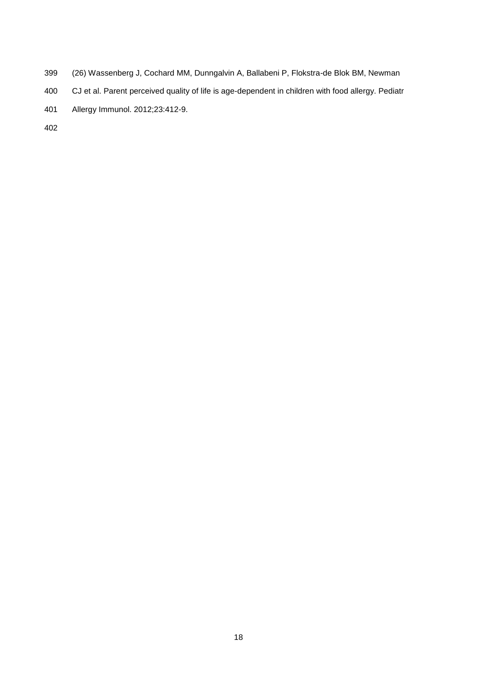- (26) Wassenberg J, Cochard MM, Dunngalvin A, Ballabeni P, Flokstra-de Blok BM, Newman
- CJ et al. Parent perceived quality of life is age-dependent in children with food allergy. Pediatr
- Allergy Immunol. 2012;23:412-9.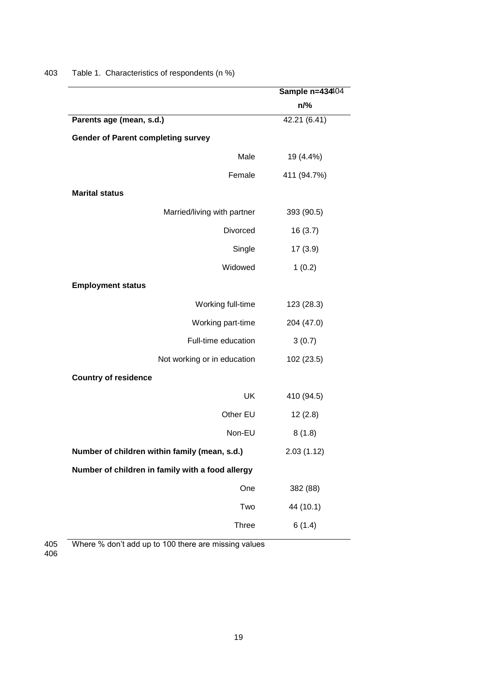|                                                  | Sample n=43404 |
|--------------------------------------------------|----------------|
|                                                  | n/%            |
| Parents age (mean, s.d.)                         | 42.21 (6.41)   |
| <b>Gender of Parent completing survey</b>        |                |
| Male                                             | 19 (4.4%)      |
| Female                                           | 411 (94.7%)    |
| <b>Marital status</b>                            |                |
| Married/living with partner                      | 393 (90.5)     |
| <b>Divorced</b>                                  | 16(3.7)        |
| Single                                           | 17(3.9)        |
| Widowed                                          | 1(0.2)         |
| <b>Employment status</b>                         |                |
| Working full-time                                | 123 (28.3)     |
| Working part-time                                | 204 (47.0)     |
| Full-time education                              | 3(0.7)         |
| Not working or in education                      | 102 (23.5)     |
| <b>Country of residence</b>                      |                |
| UK                                               | 410 (94.5)     |
| Other EU                                         | 12(2.8)        |
| Non-EU                                           | 8(1.8)         |
| Number of children within family (mean, s.d.)    | 2.03(1.12)     |
| Number of children in family with a food allergy |                |
| One                                              | 382 (88)       |
| Two                                              | 44 (10.1)      |
| <b>Three</b>                                     | 6(1.4)         |
|                                                  |                |

403 Table 1. Characteristics of respondents (n %)

Where % don't add up to 100 there are missing values 405<br>406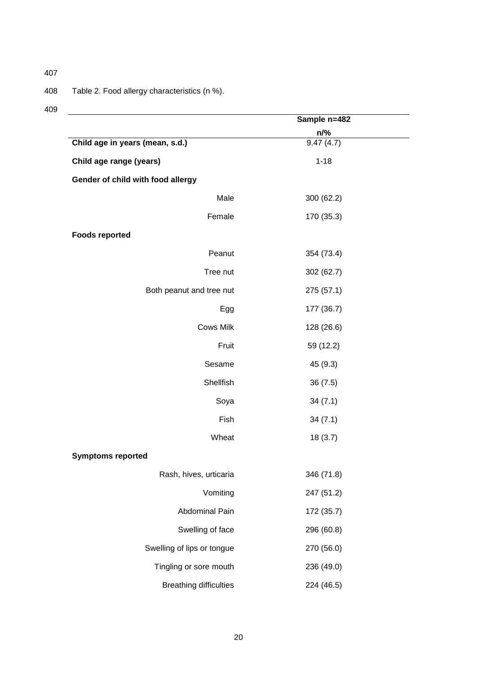# 408 Table 2. Food allergy characteristics (n %).

|                                   | Sample n=482            |  |
|-----------------------------------|-------------------------|--|
|                                   | $\frac{n/%}{9.47(4.7)}$ |  |
| Child age in years (mean, s.d.)   |                         |  |
| Child age range (years)           | $1 - 18$                |  |
| Gender of child with food allergy |                         |  |
| Male                              | 300 (62.2)              |  |
| Female                            | 170 (35.3)              |  |
| <b>Foods reported</b>             |                         |  |
| Peanut                            | 354 (73.4)              |  |
| Tree nut                          | 302 (62.7)              |  |
| Both peanut and tree nut          | 275 (57.1)              |  |
| Egg                               | 177 (36.7)              |  |
| <b>Cows Milk</b>                  | 128 (26.6)              |  |
| Fruit                             | 59 (12.2)               |  |
| Sesame                            | 45 (9.3)                |  |
| Shellfish                         | 36(7.5)                 |  |
| Soya                              | 34(7.1)                 |  |
| Fish                              | 34(7.1)                 |  |
| Wheat                             | 18(3.7)                 |  |
| <b>Symptoms reported</b>          |                         |  |
| Rash, hives, urticaria            | 346 (71.8)              |  |
| Vomiting                          | 247 (51.2)              |  |
| Abdominal Pain                    | 172 (35.7)              |  |
| Swelling of face                  | 296 (60.8)              |  |
| Swelling of lips or tongue        | 270 (56.0)              |  |
| Tingling or sore mouth            | 236 (49.0)              |  |
| <b>Breathing difficulties</b>     | 224 (46.5)              |  |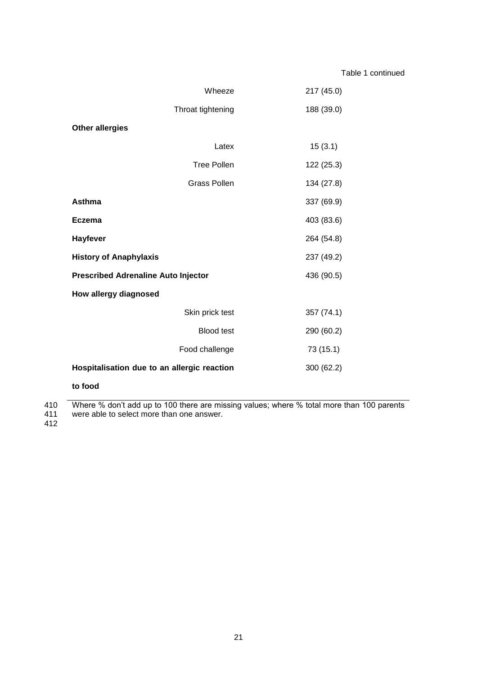| Wheeze                                      | 217 (45.0) |  |  |  |
|---------------------------------------------|------------|--|--|--|
| Throat tightening                           | 188 (39.0) |  |  |  |
| <b>Other allergies</b>                      |            |  |  |  |
| Latex                                       | 15(3.1)    |  |  |  |
| <b>Tree Pollen</b>                          | 122 (25.3) |  |  |  |
| <b>Grass Pollen</b>                         | 134 (27.8) |  |  |  |
| <b>Asthma</b>                               | 337 (69.9) |  |  |  |
| <b>Eczema</b>                               | 403 (83.6) |  |  |  |
| Hayfever                                    | 264 (54.8) |  |  |  |
| <b>History of Anaphylaxis</b>               | 237 (49.2) |  |  |  |
| <b>Prescribed Adrenaline Auto Injector</b>  | 436 (90.5) |  |  |  |
| How allergy diagnosed                       |            |  |  |  |
| Skin prick test                             | 357 (74.1) |  |  |  |
| <b>Blood test</b>                           | 290 (60.2) |  |  |  |
| Food challenge                              | 73 (15.1)  |  |  |  |
| Hospitalisation due to an allergic reaction | 300 (62.2) |  |  |  |

## **to food**

410 Where % don't add up to 100 there are missing values; where % total more than 100 parents 410<br>411<br>412

411 were able to select more than one answer.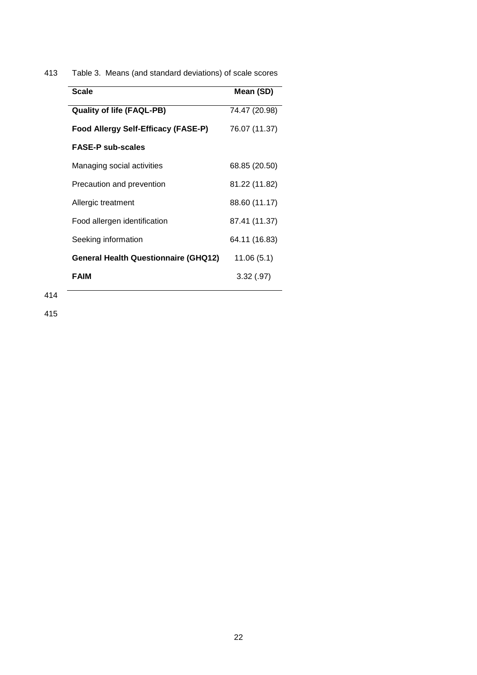413 Table 3. Means (and standard deviations) of scale scores

| <b>Scale</b>                                | Mean (SD)     |
|---------------------------------------------|---------------|
| <b>Quality of life (FAQL-PB)</b>            | 74.47 (20.98) |
| Food Allergy Self-Efficacy (FASE-P)         | 76.07 (11.37) |
| <b>FASE-P sub-scales</b>                    |               |
| Managing social activities                  | 68.85 (20.50) |
| Precaution and prevention                   | 81.22 (11.82) |
| Allergic treatment                          | 88.60 (11.17) |
| Food allergen identification                | 87.41 (11.37) |
| Seeking information                         | 64.11 (16.83) |
| <b>General Health Questionnaire (GHQ12)</b> | 11.06(5.1)    |
| <b>FAIM</b>                                 | 3.32(.97)     |
|                                             |               |

414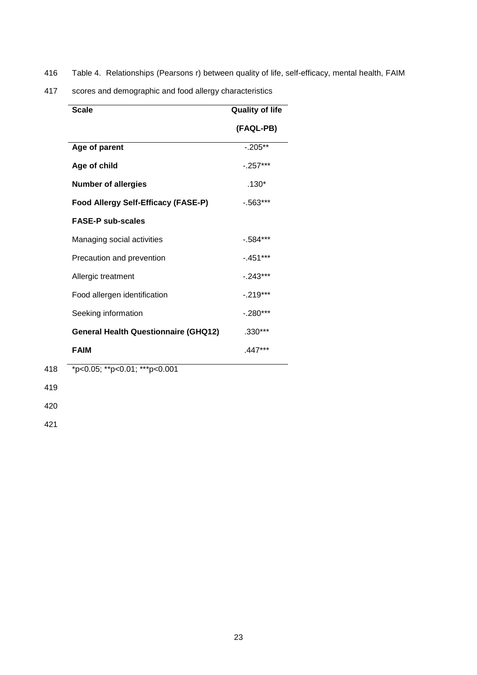416 Table 4. Relationships (Pearsons r) between quality of life, self-efficacy, mental health, FAIM

417 scores and demographic and food allergy characteristics

| <b>Scale</b>                                | <b>Quality of life</b> |
|---------------------------------------------|------------------------|
|                                             | (FAQL-PB)              |
| Age of parent                               | $-205**$               |
| Age of child                                | $-.257***$             |
| <b>Number of allergies</b>                  | $.130*$                |
| Food Allergy Self-Efficacy (FASE-P)         | $-0.563***$            |
| <b>FASE-P sub-scales</b>                    |                        |
| Managing social activities                  | $-0.584***$            |
| Precaution and prevention                   | $-451***$              |
| Allergic treatment                          | $-243***$              |
| Food allergen identification                | $-.219***$             |
| Seeking information                         | $-.280***$             |
| <b>General Health Questionnaire (GHQ12)</b> | $.330***$              |
| <b>FAIM</b>                                 | .447***                |
| *p<0.05; **p<0.01; ***p<0.001               |                        |

421

418

419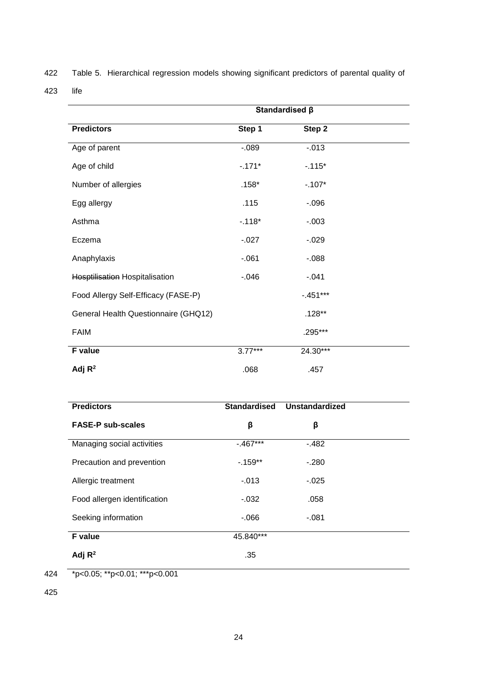422 Table 5. Hierarchical regression models showing significant predictors of parental quality of

423 life

|                                      | Standardised β |             |  |
|--------------------------------------|----------------|-------------|--|
| <b>Predictors</b>                    | Step 1         | Step 2      |  |
| Age of parent                        | $-0.089$       | $-0.013$    |  |
| Age of child                         | $-171*$        | $-115*$     |  |
| Number of allergies                  | $.158*$        | $-.107*$    |  |
| Egg allergy                          | .115           | $-0.096$    |  |
| Asthma                               | $-.118*$       | $-0.003$    |  |
| Eczema                               | $-0.027$       | $-0.029$    |  |
| Anaphylaxis                          | $-061$         | $-0.088$    |  |
| Hosptilisation Hospitalisation       | $-0.046$       | $-0.041$    |  |
| Food Allergy Self-Efficacy (FASE-P)  |                | $-0.451***$ |  |
| General Health Questionnaire (GHQ12) |                | $.128**$    |  |
| <b>FAIM</b>                          |                | .295***     |  |
| F value                              | $3.77***$      | $24.30***$  |  |
| Adj $R^2$                            | .068           | .457        |  |

| <b>Predictors</b>            | <b>Standardised</b> | <b>Unstandardized</b> |  |
|------------------------------|---------------------|-----------------------|--|
| <b>FASE-P sub-scales</b>     | β                   | β                     |  |
| Managing social activities   | $-467***$           | $-482$                |  |
| Precaution and prevention    | $-159**$            | $-280$                |  |
| Allergic treatment           | $-0.013$            | $-0.025$              |  |
| Food allergen identification | $-0.032$            | .058                  |  |
| Seeking information          | $-066$              | $-081$                |  |
| F value                      | 45.840***           |                       |  |
| Adj $R^2$                    | .35                 |                       |  |

424 \*p<0.05; \*\*p<0.01; \*\*\*p<0.001